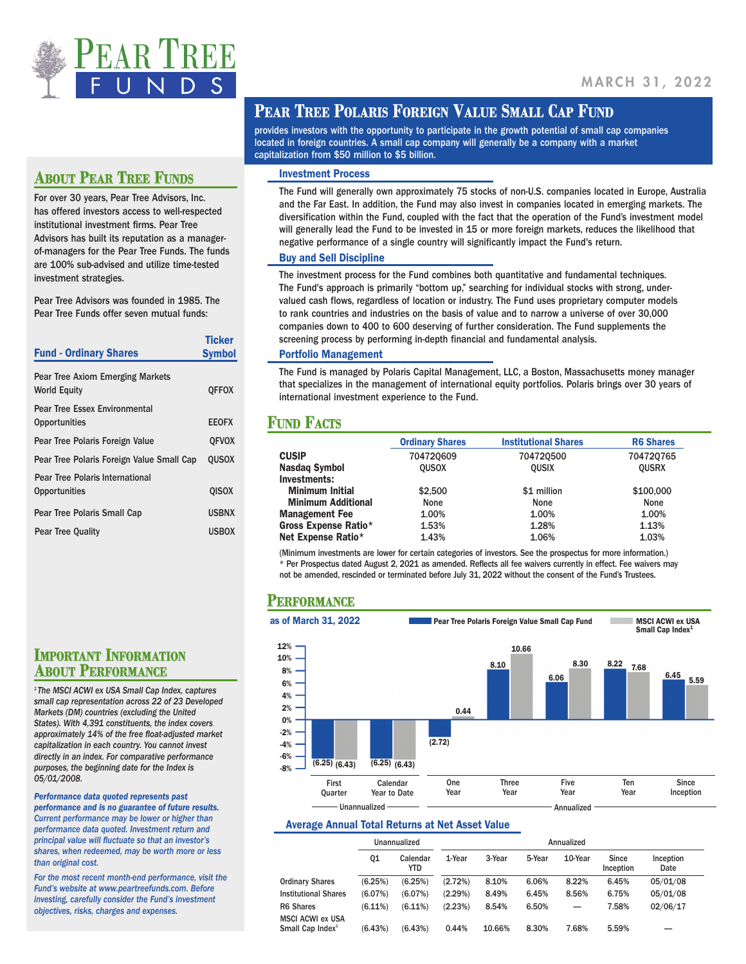

## **PEAR TREE POLARIS FOREIGN VALUE SMALL CAP FUND**

provides investors with the opportunity to participate in the growth potential of small cap companies located in foreign countries. A small cap company will generally be a company with a market capitalization from \$50 million to \$5 billion.

## Investment Process

The Fund will generally own approximately 75 stocks of non-U.S. companies located in Europe, Australia and the Far East. In addition, the Fund may also invest in companies located in emerging markets. The diversification within the Fund, coupled with the fact that the operation of the Fund's investment model will generally lead the Fund to be invested in 15 or more foreign markets, reduces the likelihood that negative performance of a single country will significantly impact the Fund's return.

## Buy and Sell Discipline

The investment process for the Fund combines both quantitative and fundamental techniques. The Fund's approach is primarily "bottom up," searching for individual stocks with strong, undervalued cash flows, regardless of location or industry. The Fund uses proprietary computer models to rank countries and industries on the basis of value and to narrow a universe of over 30,000 companies down to 400 to 600 deserving of further consideration. The Fund supplements the screening process by performing in-depth financial and fundamental analysis.

#### Portfolio Management

The Fund is managed by Polaris Capital Management, LLC, a Boston, Massachusetts money manager that specializes in the management of international equity portfolios. Polaris brings over 30 years of international investment experience to the Fund.

## **FUND FACTS**

|                           | <b>Ordinary Shares</b> | <b>Institutional Shares</b> | <b>R6 Shares</b> |
|---------------------------|------------------------|-----------------------------|------------------|
| <b>CUSIP</b>              | 704720609              | 704720500                   | 704720765        |
| <b>Nasdag Symbol</b>      | <b>OUSOX</b>           | <b>OUSIX</b>                | <b>OUSRX</b>     |
| Investments:              |                        |                             |                  |
| <b>Minimum Initial</b>    | \$2,500                | \$1 million                 | \$100,000        |
| <b>Minimum Additional</b> | None                   | None                        | None             |
| <b>Management Fee</b>     | 1.00%                  | 1.00%                       | 1.00%            |
| Gross Expense Ratio*      | 1.53%                  | 1.28%                       | 1.13%            |
| Net Expense Ratio*        | 1.43%                  | 1.06%                       | 1.03%            |

(Minimum investments are lower for certain categories of investors. See the prospectus for more information.) \* Per Prospectus dated August 2, 2021 as amended. Reflects all fee waivers currently in effect. Fee waivers may not be amended, rescinded or terminated before July 31, 2022 without the consent of the Fund's Trustees.

## **Performance**



## Average Annual Total Returns at Net Asset Value

|                                                         | Unannualized |                  |         | Annualized |        |         |                    |                   |
|---------------------------------------------------------|--------------|------------------|---------|------------|--------|---------|--------------------|-------------------|
|                                                         | 01           | Calendar<br>YTD. | 1-Year  | 3-Year     | 5-Year | 10-Year | Since<br>Inception | Inception<br>Date |
| <b>Ordinary Shares</b>                                  | (6.25%)      | (6.25%)          | (2.72%) | 8.10%      | 6.06%  | 8.22%   | 6.45%              | 05/01/08          |
| <b>Institutional Shares</b>                             | (6.07%)      | (6.07%)          | (2.29%) | 8.49%      | 6.45%  | 8.56%   | 6.75%              | 05/01/08          |
| R6 Shares                                               | $(6.11\%)$   | $(6.11\%)$       | (2.23%) | 8.54%      | 6.50%  |         | 7.58%              | 02/06/17          |
| <b>MSCI ACWI ex USA</b><br>Small Cap Index <sup>1</sup> | (6.43%)      | (6.43%)          | 0.44%   | 10.66%     | 8.30%  | 7.68%   | 5.59%              |                   |

## **ABOUT PEAR TREE FUNDS**

For over 30 years, Pear Tree Advisors, Inc. has offered investors access to well-respected institutional investment firms. Pear Tree Advisors has built its reputation as a managerof-managers for the Pear Tree Funds. The funds are 100% sub-advised and utilize time-tested investment strategies.

Pear Tree Advisors was founded in 1985. The Pear Tree Funds offer seven mutual funds:

| <b>Fund - Ordinary Shares</b>                           | Ticker<br><b>Symbol</b> |
|---------------------------------------------------------|-------------------------|
| Pear Tree Axiom Emerging Markets<br><b>World Equity</b> | <b>QFFOX</b>            |
| <b>Pear Tree Essex Environmental</b><br>Opportunities   | <b>EEOFX</b>            |
| Pear Tree Polaris Foreign Value                         | <b>OFVOX</b>            |
| Pear Tree Polaris Foreign Value Small Cap               | <b>OUSOX</b>            |
| Pear Tree Polaris International<br>Opportunities        | <b>QISOX</b>            |
| Pear Tree Polaris Small Cap                             | <b>USBNX</b>            |
| <b>Pear Tree Quality</b>                                | <b>USBOX</b>            |

**IMPORTANT INFORMATION<br>ABOUT PERFORMANCE** 

*1 The MSCI ACWI ex USA Small Cap Index, captures small cap representation across 22 of 23 Developed Markets (DM) countries (excluding the United States). With 4,391 constituents, the index covers approximately 14% of the free float-adjusted market capitalization in each country. You cannot invest directly in an index. For comparative performance purposes, the beginning date for the Index is 05/01/2008.* 

*Performance data quoted represents past performance and is no guarantee of future results. Current performance may be lower or higher than performance data quoted. Investment return and principal value will fluctuate so that an investor's shares, when redeemed, may be worth more or less than original cost.* 

*For the most recent month-end performance, visit the Fund's website at www.peartreefunds.com. Before investing, carefully consider the Fund's investment objectives, risks, charges and expenses.*